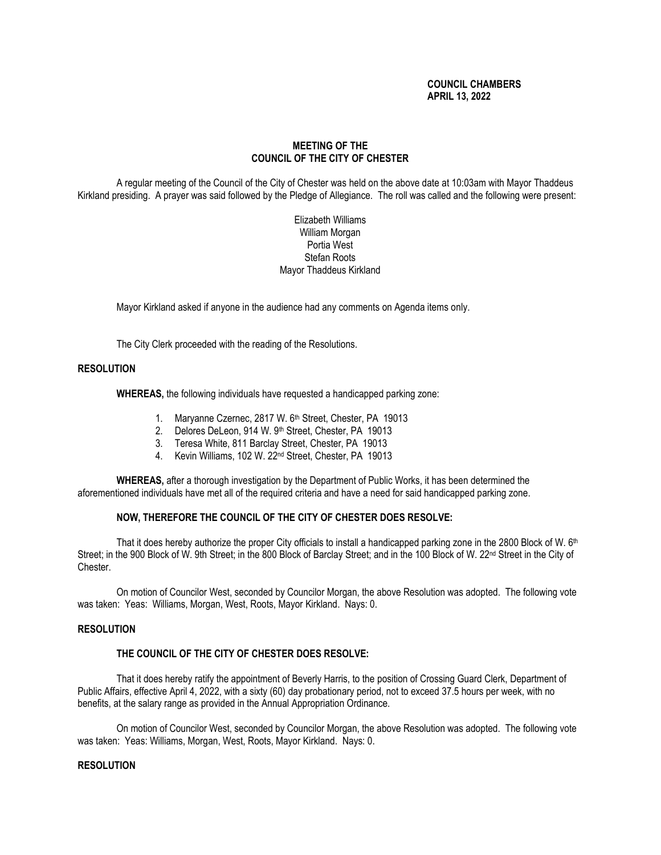# **COUNCIL CHAMBERS APRIL 13, 2022**

# **MEETING OF THE COUNCIL OF THE CITY OF CHESTER**

A regular meeting of the Council of the City of Chester was held on the above date at 10:03am with Mayor Thaddeus Kirkland presiding. A prayer was said followed by the Pledge of Allegiance. The roll was called and the following were present:

> Elizabeth Williams William Morgan Portia West Stefan Roots Mayor Thaddeus Kirkland

Mayor Kirkland asked if anyone in the audience had any comments on Agenda items only.

The City Clerk proceeded with the reading of the Resolutions.

# **RESOLUTION**

**WHEREAS,** the following individuals have requested a handicapped parking zone:

- 1. Maryanne Czernec, 2817 W. 6<sup>th</sup> Street, Chester, PA 19013
- 2. Delores DeLeon, 914 W. 9<sup>th</sup> Street, Chester, PA 19013
- 3. Teresa White, 811 Barclay Street, Chester, PA 19013
- 4. Kevin Williams, 102 W. 22nd Street, Chester, PA 19013

**WHEREAS,** after a thorough investigation by the Department of Public Works, it has been determined the aforementioned individuals have met all of the required criteria and have a need for said handicapped parking zone.

# **NOW, THEREFORE THE COUNCIL OF THE CITY OF CHESTER DOES RESOLVE:**

That it does hereby authorize the proper City officials to install a handicapped parking zone in the 2800 Block of W. 6th Street; in the 900 Block of W. 9th Street; in the 800 Block of Barclay Street; and in the 100 Block of W. 22<sup>nd</sup> Street in the City of Chester.

On motion of Councilor West, seconded by Councilor Morgan, the above Resolution was adopted. The following vote was taken: Yeas: Williams, Morgan, West, Roots, Mayor Kirkland. Nays: 0.

# **RESOLUTION**

## **THE COUNCIL OF THE CITY OF CHESTER DOES RESOLVE:**

That it does hereby ratify the appointment of Beverly Harris, to the position of Crossing Guard Clerk, Department of Public Affairs, effective April 4, 2022, with a sixty (60) day probationary period, not to exceed 37.5 hours per week, with no benefits, at the salary range as provided in the Annual Appropriation Ordinance.

On motion of Councilor West, seconded by Councilor Morgan, the above Resolution was adopted. The following vote was taken: Yeas: Williams, Morgan, West, Roots, Mayor Kirkland. Nays: 0.

# **RESOLUTION**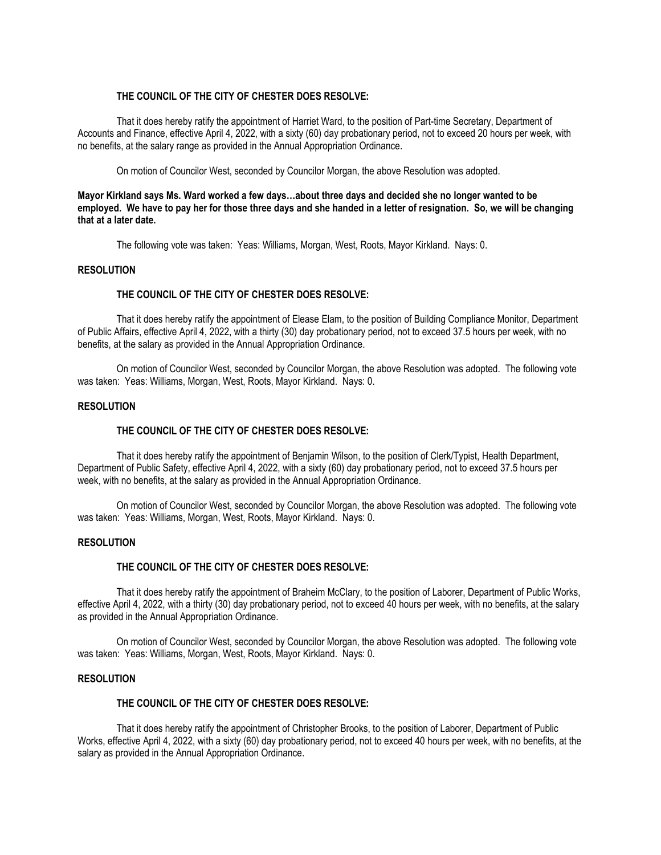# **THE COUNCIL OF THE CITY OF CHESTER DOES RESOLVE:**

That it does hereby ratify the appointment of Harriet Ward, to the position of Part-time Secretary, Department of Accounts and Finance, effective April 4, 2022, with a sixty (60) day probationary period, not to exceed 20 hours per week, with no benefits, at the salary range as provided in the Annual Appropriation Ordinance.

On motion of Councilor West, seconded by Councilor Morgan, the above Resolution was adopted.

# **Mayor Kirkland says Ms. Ward worked a few days…about three days and decided she no longer wanted to be employed. We have to pay her for those three days and she handed in a letter of resignation. So, we will be changing that at a later date.**

The following vote was taken: Yeas: Williams, Morgan, West, Roots, Mayor Kirkland. Nays: 0.

## **RESOLUTION**

## **THE COUNCIL OF THE CITY OF CHESTER DOES RESOLVE:**

That it does hereby ratify the appointment of Elease Elam, to the position of Building Compliance Monitor, Department of Public Affairs, effective April 4, 2022, with a thirty (30) day probationary period, not to exceed 37.5 hours per week, with no benefits, at the salary as provided in the Annual Appropriation Ordinance.

On motion of Councilor West, seconded by Councilor Morgan, the above Resolution was adopted. The following vote was taken: Yeas: Williams, Morgan, West, Roots, Mayor Kirkland. Nays: 0.

## **RESOLUTION**

## **THE COUNCIL OF THE CITY OF CHESTER DOES RESOLVE:**

That it does hereby ratify the appointment of Benjamin Wilson, to the position of Clerk/Typist, Health Department, Department of Public Safety, effective April 4, 2022, with a sixty (60) day probationary period, not to exceed 37.5 hours per week, with no benefits, at the salary as provided in the Annual Appropriation Ordinance.

On motion of Councilor West, seconded by Councilor Morgan, the above Resolution was adopted. The following vote was taken: Yeas: Williams, Morgan, West, Roots, Mayor Kirkland. Nays: 0.

## **RESOLUTION**

## **THE COUNCIL OF THE CITY OF CHESTER DOES RESOLVE:**

That it does hereby ratify the appointment of Braheim McClary, to the position of Laborer, Department of Public Works, effective April 4, 2022, with a thirty (30) day probationary period, not to exceed 40 hours per week, with no benefits, at the salary as provided in the Annual Appropriation Ordinance.

On motion of Councilor West, seconded by Councilor Morgan, the above Resolution was adopted. The following vote was taken: Yeas: Williams, Morgan, West, Roots, Mayor Kirkland. Nays: 0.

## **RESOLUTION**

#### **THE COUNCIL OF THE CITY OF CHESTER DOES RESOLVE:**

That it does hereby ratify the appointment of Christopher Brooks, to the position of Laborer, Department of Public Works, effective April 4, 2022, with a sixty (60) day probationary period, not to exceed 40 hours per week, with no benefits, at the salary as provided in the Annual Appropriation Ordinance.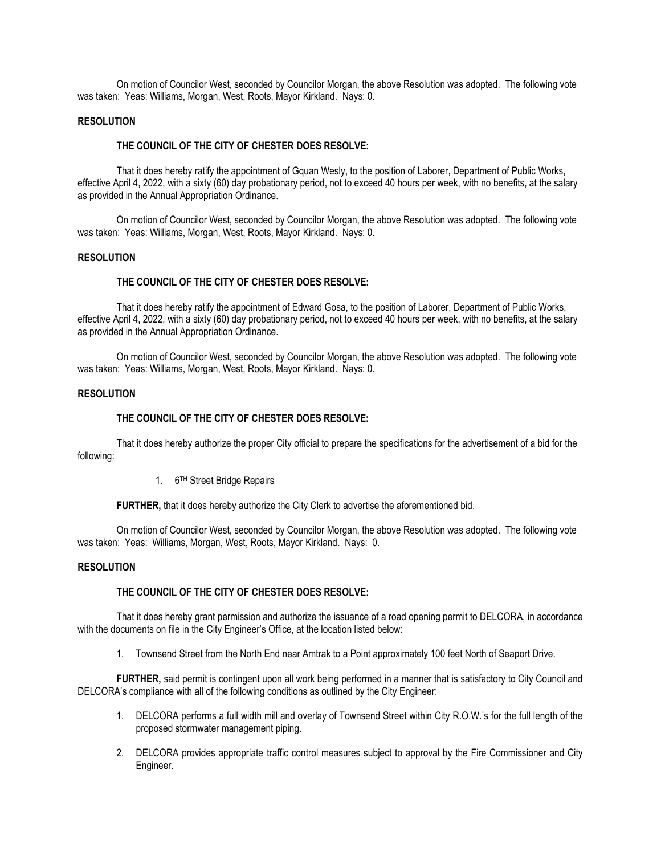On motion of Councilor West, seconded by Councilor Morgan, the above Resolution was adopted. The following vote was taken: Yeas: Williams, Morgan, West, Roots, Mayor Kirkland. Nays: 0.

## **RESOLUTION**

### **THE COUNCIL OF THE CITY OF CHESTER DOES RESOLVE:**

That it does hereby ratify the appointment of Gquan Wesly, to the position of Laborer, Department of Public Works, effective April 4, 2022, with a sixty (60) day probationary period, not to exceed 40 hours per week, with no benefits, at the salary as provided in the Annual Appropriation Ordinance.

On motion of Councilor West, seconded by Councilor Morgan, the above Resolution was adopted. The following vote was taken: Yeas: Williams, Morgan, West, Roots, Mayor Kirkland. Nays: 0.

#### **RESOLUTION**

### **THE COUNCIL OF THE CITY OF CHESTER DOES RESOLVE:**

That it does hereby ratify the appointment of Edward Gosa, to the position of Laborer, Department of Public Works, effective April 4, 2022, with a sixty (60) day probationary period, not to exceed 40 hours per week, with no benefits, at the salary as provided in the Annual Appropriation Ordinance.

On motion of Councilor West, seconded by Councilor Morgan, the above Resolution was adopted. The following vote was taken: Yeas: Williams, Morgan, West, Roots, Mayor Kirkland. Nays: 0.

## **RESOLUTION**

#### **THE COUNCIL OF THE CITY OF CHESTER DOES RESOLVE:**

That it does hereby authorize the proper City official to prepare the specifications for the advertisement of a bid for the following:

#### 1. 6<sup>TH</sup> Street Bridge Repairs

**FURTHER,** that it does hereby authorize the City Clerk to advertise the aforementioned bid.

On motion of Councilor West, seconded by Councilor Morgan, the above Resolution was adopted. The following vote was taken: Yeas: Williams, Morgan, West, Roots, Mayor Kirkland. Nays: 0.

#### **RESOLUTION**

#### **THE COUNCIL OF THE CITY OF CHESTER DOES RESOLVE:**

That it does hereby grant permission and authorize the issuance of a road opening permit to DELCORA, in accordance with the documents on file in the City Engineer's Office, at the location listed below:

1. Townsend Street from the North End near Amtrak to a Point approximately 100 feet North of Seaport Drive.

**FURTHER,** said permit is contingent upon all work being performed in a manner that is satisfactory to City Council and DELCORA's compliance with all of the following conditions as outlined by the City Engineer:

- 1. DELCORA performs a full width mill and overlay of Townsend Street within City R.O.W.'s for the full length of the proposed stormwater management piping.
- 2. DELCORA provides appropriate traffic control measures subject to approval by the Fire Commissioner and City Engineer.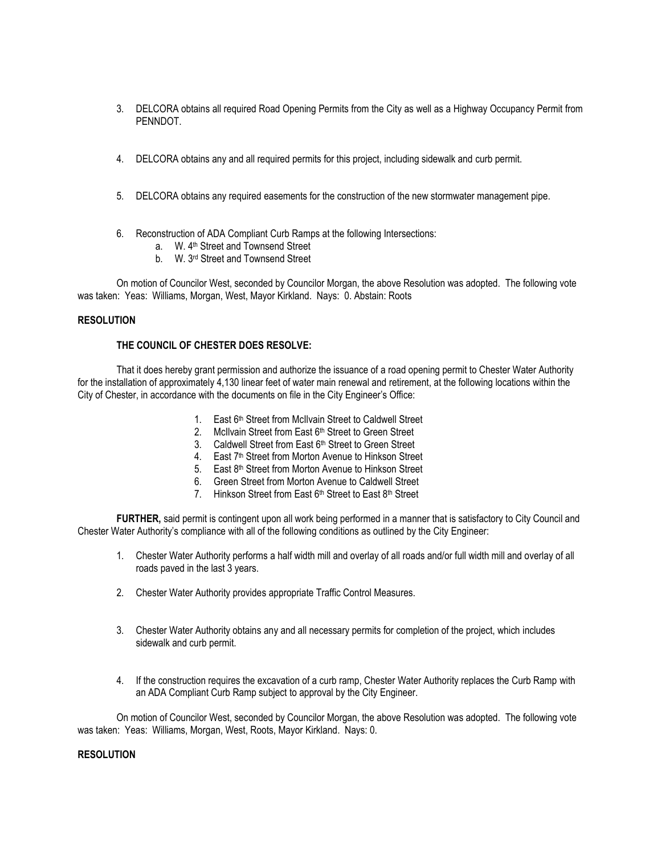- 3. DELCORA obtains all required Road Opening Permits from the City as well as a Highway Occupancy Permit from PENNDOT.
- 4. DELCORA obtains any and all required permits for this project, including sidewalk and curb permit.
- 5. DELCORA obtains any required easements for the construction of the new stormwater management pipe.
- 6. Reconstruction of ADA Compliant Curb Ramps at the following Intersections:
	- a. W. 4<sup>th</sup> Street and Townsend Street
	- b. W. 3<sup>rd</sup> Street and Townsend Street

On motion of Councilor West, seconded by Councilor Morgan, the above Resolution was adopted. The following vote was taken: Yeas: Williams, Morgan, West, Mayor Kirkland. Nays: 0. Abstain: Roots

# **RESOLUTION**

# **THE COUNCIL OF CHESTER DOES RESOLVE:**

That it does hereby grant permission and authorize the issuance of a road opening permit to Chester Water Authority for the installation of approximately 4,130 linear feet of water main renewal and retirement, at the following locations within the City of Chester, in accordance with the documents on file in the City Engineer's Office:

- 1. East 6th Street from McIlvain Street to Caldwell Street
- 2. McIlvain Street from East 6<sup>th</sup> Street to Green Street
- 3. Caldwell Street from East 6<sup>th</sup> Street to Green Street
- 4. East 7<sup>th</sup> Street from Morton Avenue to Hinkson Street
- 5. East 8<sup>th</sup> Street from Morton Avenue to Hinkson Street
- 6. Green Street from Morton Avenue to Caldwell Street
- 7. Hinkson Street from East 6<sup>th</sup> Street to East 8<sup>th</sup> Street

**FURTHER,** said permit is contingent upon all work being performed in a manner that is satisfactory to City Council and Chester Water Authority's compliance with all of the following conditions as outlined by the City Engineer:

- 1. Chester Water Authority performs a half width mill and overlay of all roads and/or full width mill and overlay of all roads paved in the last 3 years.
- 2. Chester Water Authority provides appropriate Traffic Control Measures.
- 3. Chester Water Authority obtains any and all necessary permits for completion of the project, which includes sidewalk and curb permit.
- 4. If the construction requires the excavation of a curb ramp, Chester Water Authority replaces the Curb Ramp with an ADA Compliant Curb Ramp subject to approval by the City Engineer.

On motion of Councilor West, seconded by Councilor Morgan, the above Resolution was adopted. The following vote was taken: Yeas: Williams, Morgan, West, Roots, Mayor Kirkland. Nays: 0.

# **RESOLUTION**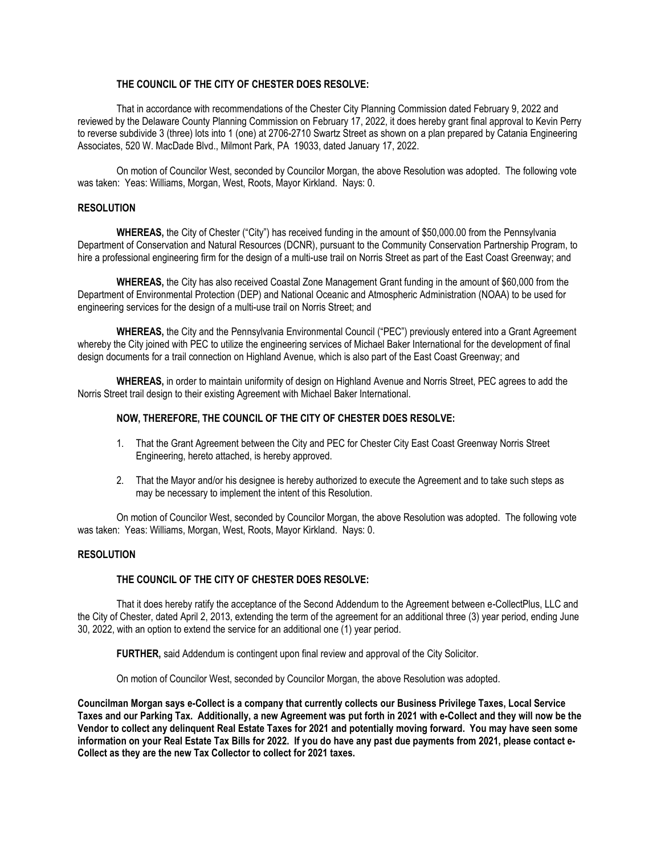# **THE COUNCIL OF THE CITY OF CHESTER DOES RESOLVE:**

That in accordance with recommendations of the Chester City Planning Commission dated February 9, 2022 and reviewed by the Delaware County Planning Commission on February 17, 2022, it does hereby grant final approval to Kevin Perry to reverse subdivide 3 (three) lots into 1 (one) at 2706-2710 Swartz Street as shown on a plan prepared by Catania Engineering Associates, 520 W. MacDade Blvd., Milmont Park, PA 19033, dated January 17, 2022.

On motion of Councilor West, seconded by Councilor Morgan, the above Resolution was adopted. The following vote was taken: Yeas: Williams, Morgan, West, Roots, Mayor Kirkland. Nays: 0.

# **RESOLUTION**

**WHEREAS,** the City of Chester ("City") has received funding in the amount of \$50,000.00 from the Pennsylvania Department of Conservation and Natural Resources (DCNR), pursuant to the Community Conservation Partnership Program, to hire a professional engineering firm for the design of a multi-use trail on Norris Street as part of the East Coast Greenway; and

**WHEREAS,** the City has also received Coastal Zone Management Grant funding in the amount of \$60,000 from the Department of Environmental Protection (DEP) and National Oceanic and Atmospheric Administration (NOAA) to be used for engineering services for the design of a multi-use trail on Norris Street; and

**WHEREAS,** the City and the Pennsylvania Environmental Council ("PEC") previously entered into a Grant Agreement whereby the City joined with PEC to utilize the engineering services of Michael Baker International for the development of final design documents for a trail connection on Highland Avenue, which is also part of the East Coast Greenway; and

**WHEREAS,** in order to maintain uniformity of design on Highland Avenue and Norris Street, PEC agrees to add the Norris Street trail design to their existing Agreement with Michael Baker International.

# **NOW, THEREFORE, THE COUNCIL OF THE CITY OF CHESTER DOES RESOLVE:**

- 1. That the Grant Agreement between the City and PEC for Chester City East Coast Greenway Norris Street Engineering, hereto attached, is hereby approved.
- 2. That the Mayor and/or his designee is hereby authorized to execute the Agreement and to take such steps as may be necessary to implement the intent of this Resolution.

On motion of Councilor West, seconded by Councilor Morgan, the above Resolution was adopted. The following vote was taken: Yeas: Williams, Morgan, West, Roots, Mayor Kirkland. Nays: 0.

## **RESOLUTION**

## **THE COUNCIL OF THE CITY OF CHESTER DOES RESOLVE:**

That it does hereby ratify the acceptance of the Second Addendum to the Agreement between e-CollectPlus, LLC and the City of Chester, dated April 2, 2013, extending the term of the agreement for an additional three (3) year period, ending June 30, 2022, with an option to extend the service for an additional one (1) year period.

**FURTHER,** said Addendum is contingent upon final review and approval of the City Solicitor.

On motion of Councilor West, seconded by Councilor Morgan, the above Resolution was adopted.

**Councilman Morgan says e-Collect is a company that currently collects our Business Privilege Taxes, Local Service Taxes and our Parking Tax. Additionally, a new Agreement was put forth in 2021 with e-Collect and they will now be the Vendor to collect any delinquent Real Estate Taxes for 2021 and potentially moving forward. You may have seen some information on your Real Estate Tax Bills for 2022. If you do have any past due payments from 2021, please contact e-Collect as they are the new Tax Collector to collect for 2021 taxes.**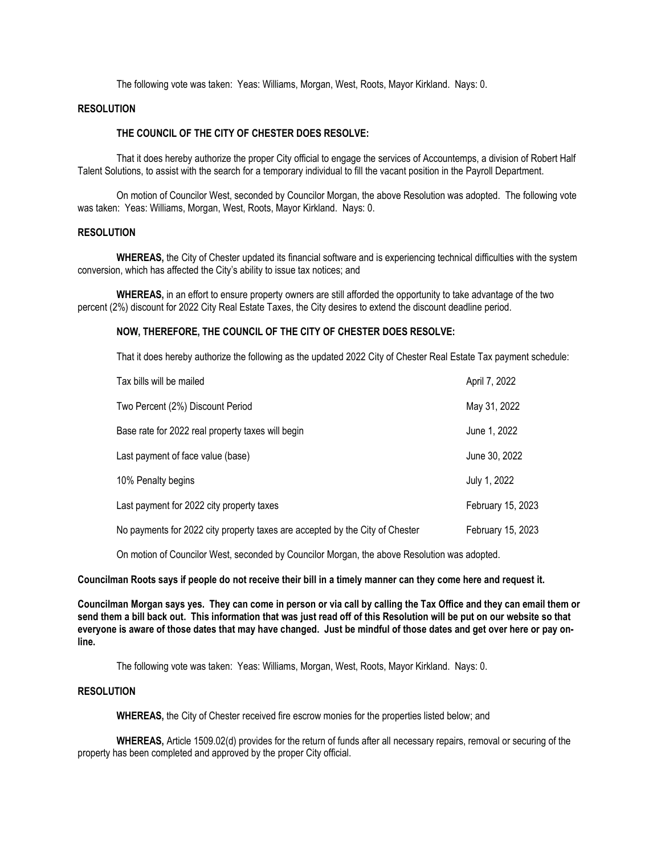The following vote was taken: Yeas: Williams, Morgan, West, Roots, Mayor Kirkland. Nays: 0.

# **RESOLUTION**

# **THE COUNCIL OF THE CITY OF CHESTER DOES RESOLVE:**

That it does hereby authorize the proper City official to engage the services of Accountemps, a division of Robert Half Talent Solutions, to assist with the search for a temporary individual to fill the vacant position in the Payroll Department.

On motion of Councilor West, seconded by Councilor Morgan, the above Resolution was adopted. The following vote was taken: Yeas: Williams, Morgan, West, Roots, Mayor Kirkland. Nays: 0.

## **RESOLUTION**

**WHEREAS,** the City of Chester updated its financial software and is experiencing technical difficulties with the system conversion, which has affected the City's ability to issue tax notices; and

**WHEREAS,** in an effort to ensure property owners are still afforded the opportunity to take advantage of the two percent (2%) discount for 2022 City Real Estate Taxes, the City desires to extend the discount deadline period.

## **NOW, THEREFORE, THE COUNCIL OF THE CITY OF CHESTER DOES RESOLVE:**

That it does hereby authorize the following as the updated 2022 City of Chester Real Estate Tax payment schedule:

| Tax bills will be mailed                                                     | April 7, 2022     |
|------------------------------------------------------------------------------|-------------------|
| Two Percent (2%) Discount Period                                             | May 31, 2022      |
| Base rate for 2022 real property taxes will begin                            | June 1, 2022      |
| Last payment of face value (base)                                            | June 30, 2022     |
| 10% Penalty begins                                                           | July 1, 2022      |
| Last payment for 2022 city property taxes                                    | February 15, 2023 |
| No payments for 2022 city property taxes are accepted by the City of Chester | February 15, 2023 |

On motion of Councilor West, seconded by Councilor Morgan, the above Resolution was adopted.

**Councilman Roots says if people do not receive their bill in a timely manner can they come here and request it.**

**Councilman Morgan says yes. They can come in person or via call by calling the Tax Office and they can email them or send them a bill back out. This information that was just read off of this Resolution will be put on our website so that everyone is aware of those dates that may have changed. Just be mindful of those dates and get over here or pay online.**

The following vote was taken: Yeas: Williams, Morgan, West, Roots, Mayor Kirkland. Nays: 0.

# **RESOLUTION**

**WHEREAS,** the City of Chester received fire escrow monies for the properties listed below; and

**WHEREAS,** Article 1509.02(d) provides for the return of funds after all necessary repairs, removal or securing of the property has been completed and approved by the proper City official.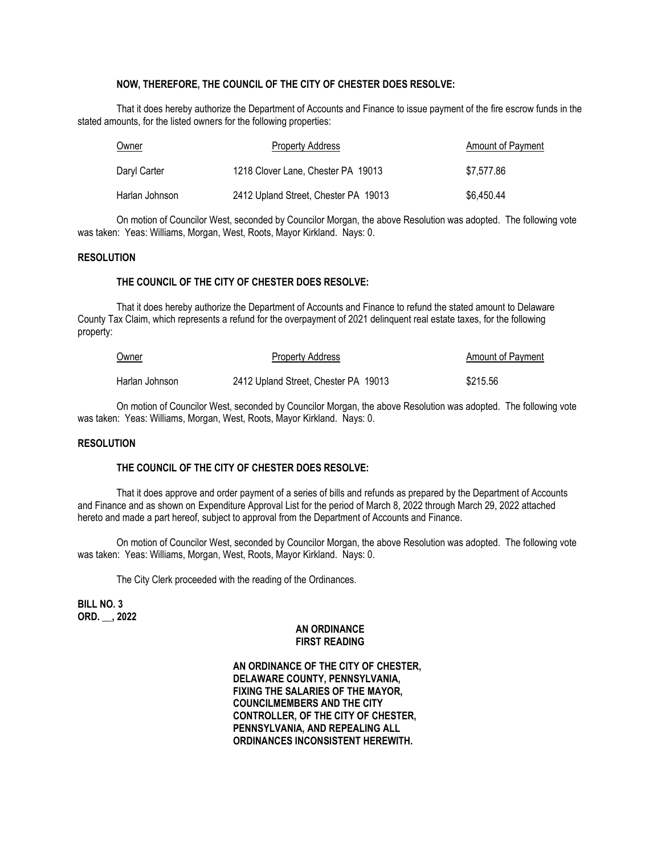# **NOW, THEREFORE, THE COUNCIL OF THE CITY OF CHESTER DOES RESOLVE:**

That it does hereby authorize the Department of Accounts and Finance to issue payment of the fire escrow funds in the stated amounts, for the listed owners for the following properties:

| Owner            | <b>Property Address</b>              | Amount of Payment |
|------------------|--------------------------------------|-------------------|
| Daryl Carter     | 1218 Clover Lane, Chester PA 19013   | \$7.577.86        |
| Harlan Johnson l | 2412 Upland Street, Chester PA 19013 | \$6.450.44        |

On motion of Councilor West, seconded by Councilor Morgan, the above Resolution was adopted. The following vote was taken: Yeas: Williams, Morgan, West, Roots, Mayor Kirkland. Nays: 0.

## **RESOLUTION**

# **THE COUNCIL OF THE CITY OF CHESTER DOES RESOLVE:**

That it does hereby authorize the Department of Accounts and Finance to refund the stated amount to Delaware County Tax Claim, which represents a refund for the overpayment of 2021 delinquent real estate taxes, for the following property:

| Owner          | <b>Property Address</b>              | <b>Amount of Payment</b> |
|----------------|--------------------------------------|--------------------------|
| Harlan Johnson | 2412 Upland Street, Chester PA 19013 | \$215.56                 |

On motion of Councilor West, seconded by Councilor Morgan, the above Resolution was adopted. The following vote was taken: Yeas: Williams, Morgan, West, Roots, Mayor Kirkland. Nays: 0.

## **RESOLUTION**

## **THE COUNCIL OF THE CITY OF CHESTER DOES RESOLVE:**

That it does approve and order payment of a series of bills and refunds as prepared by the Department of Accounts and Finance and as shown on Expenditure Approval List for the period of March 8, 2022 through March 29, 2022 attached hereto and made a part hereof, subject to approval from the Department of Accounts and Finance.

On motion of Councilor West, seconded by Councilor Morgan, the above Resolution was adopted. The following vote was taken: Yeas: Williams, Morgan, West, Roots, Mayor Kirkland. Nays: 0.

The City Clerk proceeded with the reading of the Ordinances.

**BILL NO. 3 ORD. \_\_, 2022**

## **AN ORDINANCE FIRST READING**

**AN ORDINANCE OF THE CITY OF CHESTER, DELAWARE COUNTY, PENNSYLVANIA, FIXING THE SALARIES OF THE MAYOR, COUNCILMEMBERS AND THE CITY CONTROLLER, OF THE CITY OF CHESTER, PENNSYLVANIA, AND REPEALING ALL ORDINANCES INCONSISTENT HEREWITH.**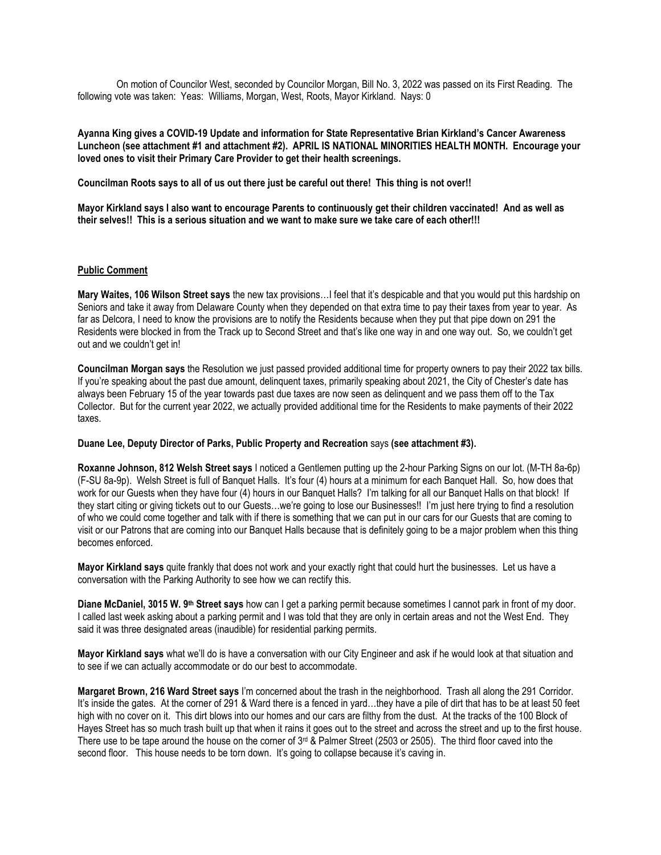On motion of Councilor West, seconded by Councilor Morgan, Bill No. 3, 2022 was passed on its First Reading. The following vote was taken: Yeas: Williams, Morgan, West, Roots, Mayor Kirkland. Nays: 0

**Ayanna King gives a COVID-19 Update and information for State Representative Brian Kirkland's Cancer Awareness Luncheon (see attachment #1 and attachment #2). APRIL IS NATIONAL MINORITIES HEALTH MONTH. Encourage your loved ones to visit their Primary Care Provider to get their health screenings.**

**Councilman Roots says to all of us out there just be careful out there! This thing is not over!!**

**Mayor Kirkland says I also want to encourage Parents to continuously get their children vaccinated! And as well as their selves!! This is a serious situation and we want to make sure we take care of each other!!!**

# **Public Comment**

**Mary Waites, 106 Wilson Street says** the new tax provisions…I feel that it's despicable and that you would put this hardship on Seniors and take it away from Delaware County when they depended on that extra time to pay their taxes from year to year. As far as Delcora, I need to know the provisions are to notify the Residents because when they put that pipe down on 291 the Residents were blocked in from the Track up to Second Street and that's like one way in and one way out. So, we couldn't get out and we couldn't get in!

**Councilman Morgan says** the Resolution we just passed provided additional time for property owners to pay their 2022 tax bills. If you're speaking about the past due amount, delinquent taxes, primarily speaking about 2021, the City of Chester's date has always been February 15 of the year towards past due taxes are now seen as delinquent and we pass them off to the Tax Collector. But for the current year 2022, we actually provided additional time for the Residents to make payments of their 2022 taxes.

## **Duane Lee, Deputy Director of Parks, Public Property and Recreation** says **(see attachment #3).**

**Roxanne Johnson, 812 Welsh Street says** I noticed a Gentlemen putting up the 2-hour Parking Signs on our lot. (M-TH 8a-6p) (F-SU 8a-9p). Welsh Street is full of Banquet Halls. It's four (4) hours at a minimum for each Banquet Hall. So, how does that work for our Guests when they have four (4) hours in our Banquet Halls? I'm talking for all our Banquet Halls on that block! If they start citing or giving tickets out to our Guests…we're going to lose our Businesses!! I'm just here trying to find a resolution of who we could come together and talk with if there is something that we can put in our cars for our Guests that are coming to visit or our Patrons that are coming into our Banquet Halls because that is definitely going to be a major problem when this thing becomes enforced.

**Mayor Kirkland says** quite frankly that does not work and your exactly right that could hurt the businesses. Let us have a conversation with the Parking Authority to see how we can rectify this.

**Diane McDaniel, 3015 W. 9th Street says** how can I get a parking permit because sometimes I cannot park in front of my door. I called last week asking about a parking permit and I was told that they are only in certain areas and not the West End. They said it was three designated areas (inaudible) for residential parking permits.

**Mayor Kirkland says** what we'll do is have a conversation with our City Engineer and ask if he would look at that situation and to see if we can actually accommodate or do our best to accommodate.

**Margaret Brown, 216 Ward Street says** I'm concerned about the trash in the neighborhood. Trash all along the 291 Corridor. It's inside the gates. At the corner of 291 & Ward there is a fenced in yard…they have a pile of dirt that has to be at least 50 feet high with no cover on it. This dirt blows into our homes and our cars are filthy from the dust. At the tracks of the 100 Block of Hayes Street has so much trash built up that when it rains it goes out to the street and across the street and up to the first house. There use to be tape around the house on the corner of  $3<sup>rd</sup>$  & Palmer Street (2503 or 2505). The third floor caved into the second floor. This house needs to be torn down. It's going to collapse because it's caving in.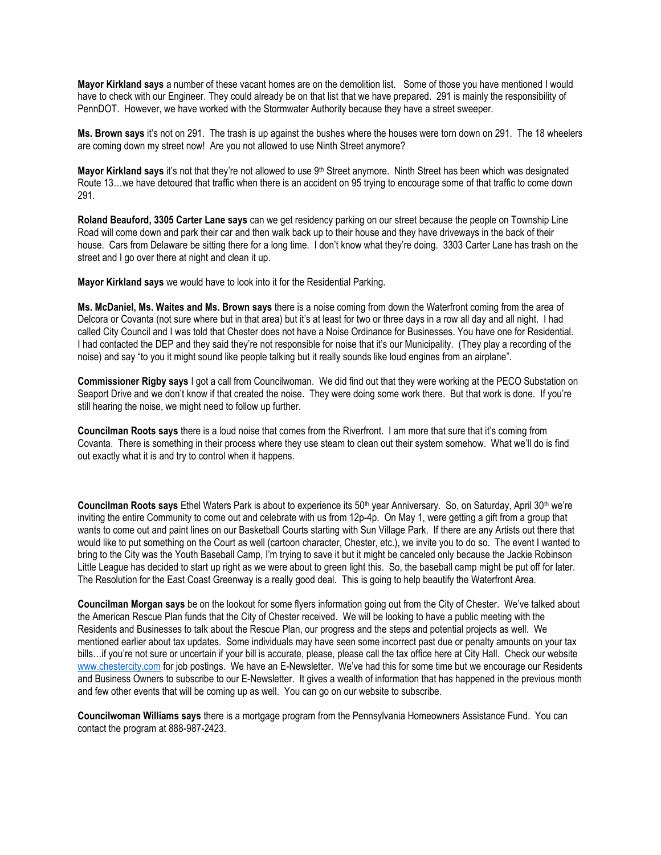**Mayor Kirkland says** a number of these vacant homes are on the demolition list. Some of those you have mentioned I would have to check with our Engineer. They could already be on that list that we have prepared. 291 is mainly the responsibility of PennDOT. However, we have worked with the Stormwater Authority because they have a street sweeper.

**Ms. Brown says** it's not on 291. The trash is up against the bushes where the houses were torn down on 291. The 18 wheelers are coming down my street now! Are you not allowed to use Ninth Street anymore?

Mayor Kirkland says it's not that they're not allowed to use 9<sup>th</sup> Street anymore. Ninth Street has been which was designated Route 13…we have detoured that traffic when there is an accident on 95 trying to encourage some of that traffic to come down 291.

**Roland Beauford, 3305 Carter Lane says** can we get residency parking on our street because the people on Township Line Road will come down and park their car and then walk back up to their house and they have driveways in the back of their house. Cars from Delaware be sitting there for a long time. I don't know what they're doing. 3303 Carter Lane has trash on the street and I go over there at night and clean it up.

**Mayor Kirkland says** we would have to look into it for the Residential Parking.

**Ms. McDaniel, Ms. Waites and Ms. Brown says** there is a noise coming from down the Waterfront coming from the area of Delcora or Covanta (not sure where but in that area) but it's at least for two or three days in a row all day and all night. I had called City Council and I was told that Chester does not have a Noise Ordinance for Businesses. You have one for Residential. I had contacted the DEP and they said they're not responsible for noise that it's our Municipality. (They play a recording of the noise) and say "to you it might sound like people talking but it really sounds like loud engines from an airplane".

**Commissioner Rigby says** I got a call from Councilwoman. We did find out that they were working at the PECO Substation on Seaport Drive and we don't know if that created the noise. They were doing some work there. But that work is done. If you're still hearing the noise, we might need to follow up further.

**Councilman Roots says** there is a loud noise that comes from the Riverfront. I am more that sure that it's coming from Covanta. There is something in their process where they use steam to clean out their system somehow. What we'll do is find out exactly what it is and try to control when it happens.

**Councilman Roots says** Ethel Waters Park is about to experience its 50th year Anniversary. So, on Saturday, April 30th we're inviting the entire Community to come out and celebrate with us from 12p-4p. On May 1, were getting a gift from a group that wants to come out and paint lines on our Basketball Courts starting with Sun Village Park. If there are any Artists out there that would like to put something on the Court as well (cartoon character, Chester, etc.), we invite you to do so. The event I wanted to bring to the City was the Youth Baseball Camp, I'm trying to save it but it might be canceled only because the Jackie Robinson Little League has decided to start up right as we were about to green light this. So, the baseball camp might be put off for later. The Resolution for the East Coast Greenway is a really good deal. This is going to help beautify the Waterfront Area.

**Councilman Morgan says** be on the lookout for some flyers information going out from the City of Chester. We've talked about the American Rescue Plan funds that the City of Chester received. We will be looking to have a public meeting with the Residents and Businesses to talk about the Rescue Plan, our progress and the steps and potential projects as well. We mentioned earlier about tax updates. Some individuals may have seen some incorrect past due or penalty amounts on your tax bills…if you're not sure or uncertain if your bill is accurate, please, please call the tax office here at City Hall. Check our website [www.chestercity.com](http://www.chestercity.com/) for job postings. We have an E-Newsletter. We've had this for some time but we encourage our Residents and Business Owners to subscribe to our E-Newsletter. It gives a wealth of information that has happened in the previous month and few other events that will be coming up as well. You can go on our website to subscribe.

**Councilwoman Williams says** there is a mortgage program from the Pennsylvania Homeowners Assistance Fund. You can contact the program at 888-987-2423.